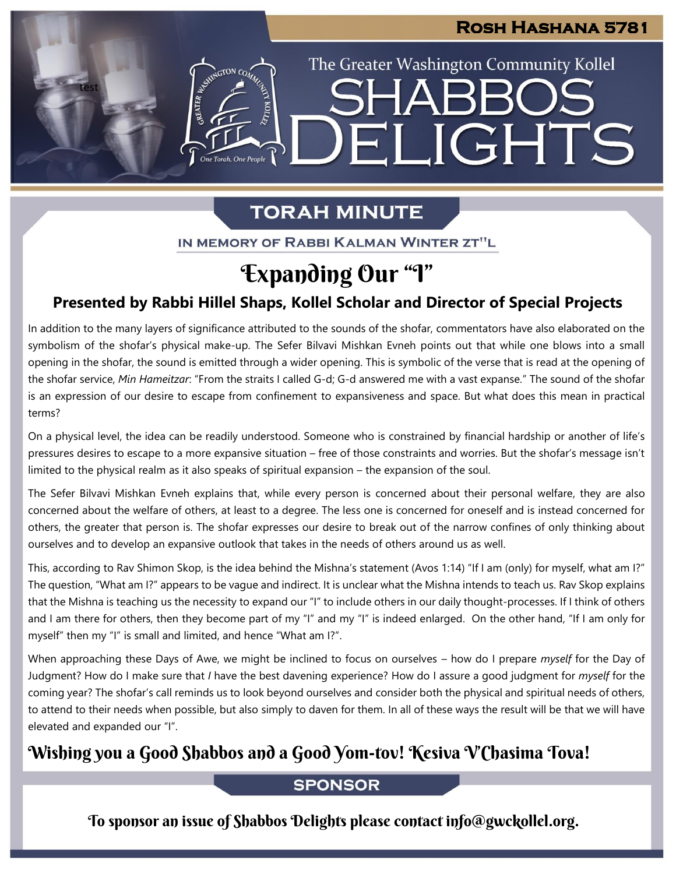## **Rosh Hashana 5781**

The Greater Washington Community Kollel

ELIGHTS

SHAR

# **TORAH MINUTE**

test

ASSEMBATON CO

IN MEMORY OF RABBI KALMAN WINTER ZT"L

# Expanding Our "I"

## **Presented by Rabbi Hillel Shaps, Kollel Scholar and Director of Special Projects**

In addition to the many layers of significance attributed to the sounds of the shofar, commentators have also elaborated on the symbolism of the shofar's physical make-up. The Sefer Bilvavi Mishkan Evneh points out that while one blows into a small opening in the shofar, the sound is emitted through a wider opening. This is symbolic of the verse that is read at the opening of the shofar service, *Min Hameitzar*: "From the straits I called G-d; G-d answered me with a vast expanse." The sound of the shofar is an expression of our desire to escape from confinement to expansiveness and space. But what does this mean in practical terms?

On a physical level, the idea can be readily understood. Someone who is constrained by financial hardship or another of life's pressures desires to escape to a more expansive situation – free of those constraints and worries. But the shofar's message isn't limited to the physical realm as it also speaks of spiritual expansion – the expansion of the soul.

The Sefer Bilvavi Mishkan Evneh explains that, while every person is concerned about their personal welfare, they are also concerned about the welfare of others, at least to a degree. The less one is concerned for oneself and is instead concerned for others, the greater that person is. The shofar expresses our desire to break out of the narrow confines of only thinking about ourselves and to develop an expansive outlook that takes in the needs of others around us as well.

This, according to Rav Shimon Skop, is the idea behind the Mishna's statement (Avos 1:14) "If I am (only) for myself, what am I?" The question, "What am I?" appears to be vague and indirect. It is unclear what the Mishna intends to teach us. Rav Skop explains that the Mishna is teaching us the necessity to expand our "I" to include others in our daily thought-processes. If I think of others and I am there for others, then they become part of my "I" and my "I" is indeed enlarged. On the other hand, "If I am only for myself" then my "I" is small and limited, and hence "What am I?".

When approaching these Days of Awe, we might be inclined to focus on ourselves – how do I prepare *myself* for the Day of Judgment? How do I make sure that *I* have the best davening experience? How do I assure a good judgment for *myself* for the coming year? The shofar's call reminds us to look beyond ourselves and consider both the physical and spiritual needs of others, to attend to their needs when possible, but also simply to daven for them. In all of these ways the result will be that we will have elevated and expanded our "I".

## Wishing you a Good Shabbos and a Good Yom-tov! Kesiva V'Chasima Tova!

## **SPONSOR**

To sponsor an issue of Shabbos Delights please contact info@gwckollel.org.